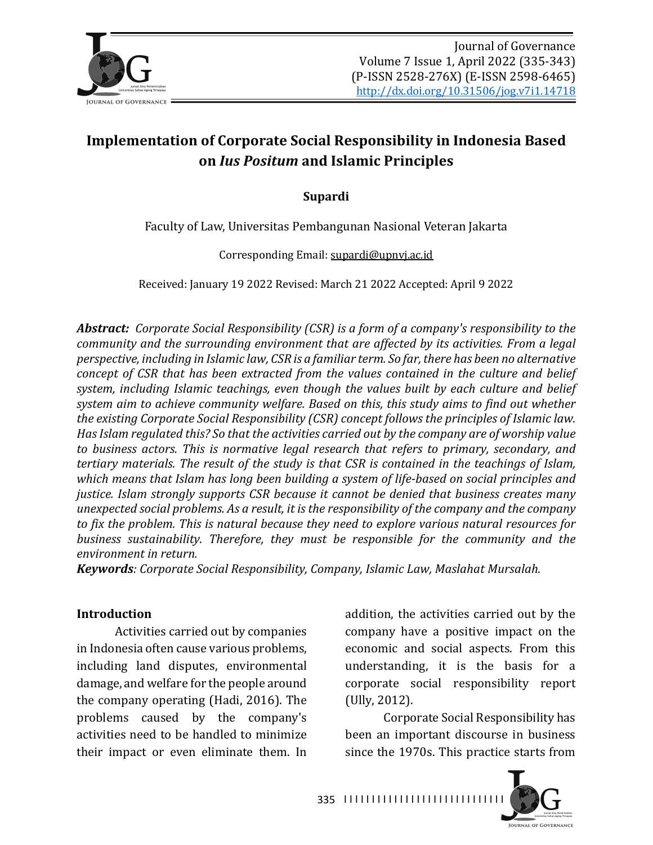

# **Implementation of Corporate Social Responsibility in Indonesia Based on** *Ius Positum* **and Islamic Principles**

#### **Supardi**

Faculty of Law, Universitas Pembangunan Nasional Veteran Jakarta

Corresponding Email: supardi@upnvj.ac.id

Received: January 19 2022 Revised: March 21 2022 Accepted: April 9 2022

Abstract: Corporate Social Responsibility (CSR) is a form of a company's responsibility to the *community and the surrounding environment that are affected by its activities. From a legal perspective, including in Islamic law, CSR is a familiar term. So far, there has been no alternative concept of CSR that has been extracted from the values contained in the culture and belief* system, including Islamic teachings, even though the values built by each culture and belief system aim to achieve community welfare. Based on this, this study aims to find out whether *the existing Corporate Social Responsibility (CSR) concept follows the principles of Islamic law. Has Islam regulated this?* So that the activities carried out by the company are of worship value *to* business actors. This is normative legal research that refers to primary, secondary, and *tertiary materials. The result of the study is that CSR is contained in the teachings of Islam,* which means that Islam has long been building a system of life-based on social principles and *justice. Islam strongly supports CSR because it cannot be denied that business creates many unexpected social problems. As a result, it is the responsibility of the company and the company* to fix the problem. This is natural because they need to explore various natural resources for *business sustainability. Therefore, they must be responsible for the community and the environment in return.*

*Keywords: Corporate Social Responsibility, Company, Islamic Law, Maslahat Mursalah.* 

#### **Introduction**

Activities carried out by companies in Indonesia often cause various problems, including land disputes, environmental damage, and welfare for the people around the company operating (Hadi, 2016). The problems caused by the company's activities need to be handled to minimize their impact or even eliminate them. In addition, the activities carried out by the company have a positive impact on the economic and social aspects. From this understanding, it is the basis for a corporate social responsibility report  $(Ully, 2012)$ .

Corporate Social Responsibility has been an important discourse in business since the 1970s. This practice starts from



335 | 1111111111111111111111111111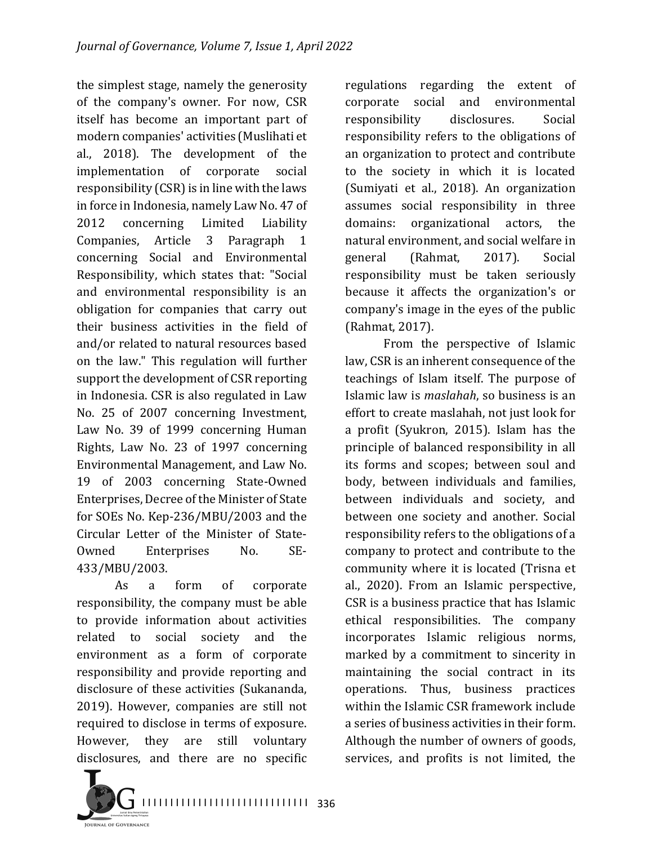the simplest stage, namely the generosity of the company's owner. For now, CSR itself has become an important part of modern companies' activities (Muslihati et al., 2018). The development of the implementation of corporate social responsibility  $(CSR)$  is in line with the laws in force in Indonesia, namely Law No. 47 of 2012 concerning Limited Liability Companies, Article 3 Paragraph 1 concerning Social and Environmental Responsibility, which states that: "Social and environmental responsibility is an obligation for companies that carry out their business activities in the field of and/or related to natural resources based on the law." This regulation will further support the development of CSR reporting in Indonesia. CSR is also regulated in Law No. 25 of 2007 concerning Investment, Law No. 39 of 1999 concerning Human Rights, Law No. 23 of 1997 concerning Environmental Management, and Law No. 19 of 2003 concerning State-Owned Enterprises, Decree of the Minister of State for SOEs No. Kep-236/MBU/2003 and the Circular Letter of the Minister of State-Owned Enterprises No. SE-433/MBU/2003.

As a form of corporate responsibility, the company must be able to provide information about activities related to social society and the environment as a form of corporate responsibility and provide reporting and disclosure of these activities (Sukananda, 2019). However, companies are still not required to disclose in terms of exposure. However, they are still voluntary disclosures, and there are no specific

regulations regarding the extent of corporate social and environmental responsibility disclosures. Social responsibility refers to the obligations of an organization to protect and contribute to the society in which it is located (Sumiyati et al., 2018). An organization assumes social responsibility in three domains: organizational actors, the natural environment, and social welfare in general (Rahmat, 2017). Social responsibility must be taken seriously because it affects the organization's or company's image in the eyes of the public (Rahmat, 2017).

From the perspective of Islamic law, CSR is an inherent consequence of the teachings of Islam itself. The purpose of Islamic law is *maslahah*, so business is an effort to create maslahah, not just look for a profit (Syukron, 2015). Islam has the principle of balanced responsibility in all its forms and scopes; between soul and body, between individuals and families, between individuals and society, and between one society and another. Social responsibility refers to the obligations of a company to protect and contribute to the community where it is located (Trisna et al., 2020). From an Islamic perspective, CSR is a business practice that has Islamic ethical responsibilities. The company incorporates Islamic religious norms, marked by a commitment to sincerity in maintaining the social contract in its operations. Thus, business practices within the Islamic CSR framework include a series of business activities in their form. Although the number of owners of goods, services, and profits is not limited, the

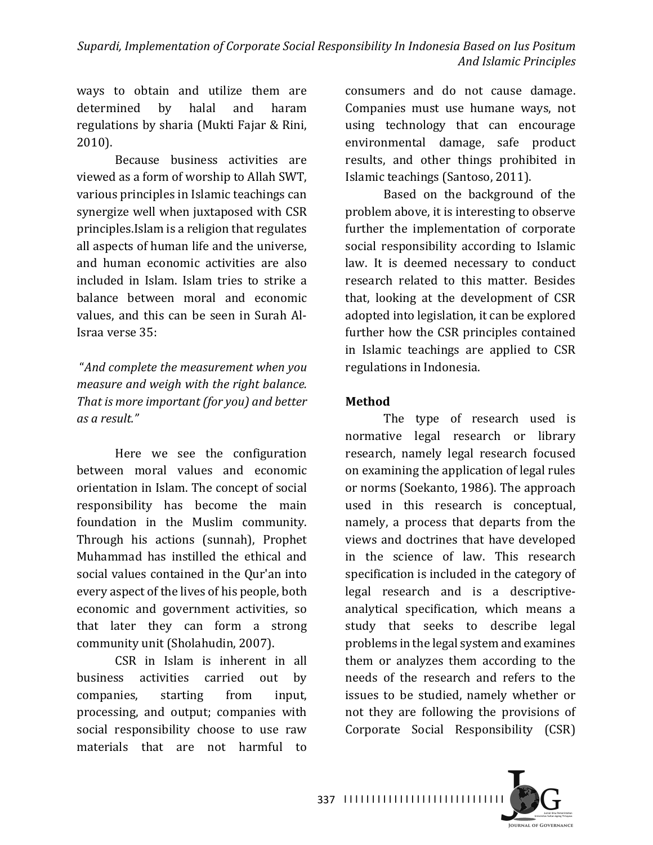ways to obtain and utilize them are determined by halal and haram regulations by sharia (Mukti Fajar & Rini, 2010).

Because business activities are viewed as a form of worship to Allah SWT. various principles in Islamic teachings can synergize well when juxtaposed with CSR principles.Islam is a religion that regulates all aspects of human life and the universe, and human economic activities are also included in Islam. Islam tries to strike a balance between moral and economic values, and this can be seen in Surah Al-Israa verse 35:

# "And complete the measurement when you *measure and weigh with the right balance. That is more important (for you)* and better *as a result."*

Here we see the configuration between moral values and economic orientation in Islam. The concept of social responsibility has become the main foundation in the Muslim community. Through his actions (sunnah), Prophet Muhammad has instilled the ethical and social values contained in the Qur'an into every aspect of the lives of his people, both economic and government activities, so that later they can form a strong community unit (Sholahudin, 2007).

CSR in Islam is inherent in all business activities carried out by companies, starting from input, processing, and output; companies with social responsibility choose to use raw materials that are not harmful to consumers and do not cause damage. Companies must use humane ways, not using technology that can encourage environmental damage, safe product results, and other things prohibited in Islamic teachings (Santoso, 2011).

Based on the background of the problem above, it is interesting to observe further the implementation of corporate social responsibility according to Islamic law. It is deemed necessary to conduct research related to this matter. Besides that, looking at the development of CSR adopted into legislation, it can be explored further how the CSR principles contained in Islamic teachings are applied to CSR regulations in Indonesia.

#### **Method**

The type of research used is normative legal research or library research, namely legal research focused on examining the application of legal rules or norms (Soekanto, 1986). The approach used in this research is conceptual, namely, a process that departs from the views and doctrines that have developed in the science of law. This research specification is included in the category of legal research and is a descriptiveanalytical specification, which means a study that seeks to describe legal problems in the legal system and examines them or analyzes them according to the needs of the research and refers to the issues to be studied, namely whether or not they are following the provisions of Corporate Social Responsibility (CSR)

I I I I I I I I I I I I I I I I I I I I I I I I I I I I I 337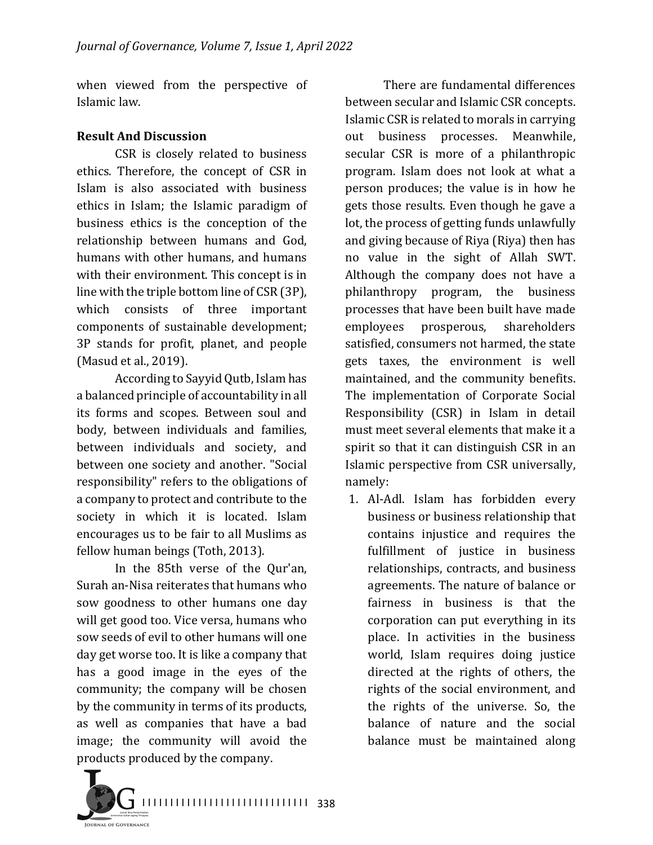when viewed from the perspective of Islamic law.

#### **Result And Discussion**

CSR is closely related to business ethics. Therefore, the concept of CSR in Islam is also associated with business ethics in Islam; the Islamic paradigm of business ethics is the conception of the relationship between humans and God, humans with other humans, and humans with their environment. This concept is in line with the triple bottom line of CSR (3P), which consists of three important components of sustainable development; 3P stands for profit, planet, and people (Masud et al., 2019).

According to Sayyid Qutb, Islam has a balanced principle of accountability in all its forms and scopes. Between soul and body, between individuals and families, between individuals and society, and between one society and another. "Social responsibility" refers to the obligations of a company to protect and contribute to the society in which it is located. Islam encourages us to be fair to all Muslims as fellow human beings (Toth, 2013).

In the 85th verse of the Qur'an, Surah an-Nisa reiterates that humans who sow goodness to other humans one day will get good too. Vice versa, humans who sow seeds of evil to other humans will one day get worse too. It is like a company that has a good image in the eyes of the community; the company will be chosen by the community in terms of its products, as well as companies that have a bad image; the community will avoid the products produced by the company.

There are fundamental differences between secular and Islamic CSR concepts. Islamic CSR is related to morals in carrying out business processes. Meanwhile, secular CSR is more of a philanthropic program. Islam does not look at what a person produces; the value is in how he gets those results. Even though he gave a lot, the process of getting funds unlawfully and giving because of Riya (Riya) then has no value in the sight of Allah SWT. Although the company does not have a philanthropy program, the business processes that have been built have made employees prosperous, shareholders satisfied, consumers not harmed, the state gets taxes, the environment is well maintained, and the community benefits. The implementation of Corporate Social Responsibility (CSR) in Islam in detail must meet several elements that make it a spirit so that it can distinguish CSR in an Islamic perspective from CSR universally, namely:

1. Al-Adl. Islam has forbidden every business or business relationship that contains injustice and requires the fulfillment of justice in business relationships, contracts, and business agreements. The nature of balance or fairness in business is that the corporation can put everything in its place. In activities in the business world, Islam requires doing justice directed at the rights of others, the rights of the social environment, and the rights of the universe. So, the balance of nature and the social balance must be maintained along

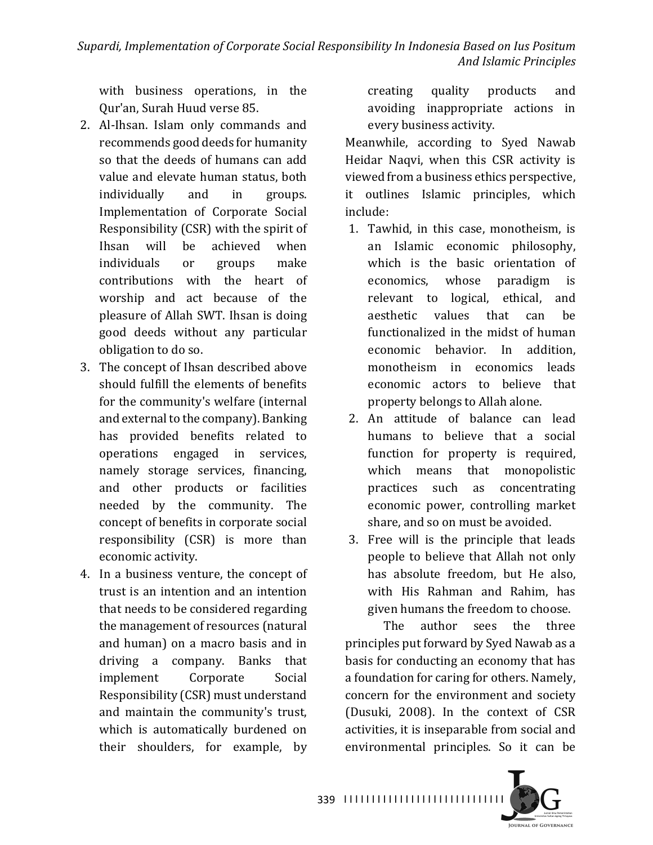with business operations, in the Our'an, Surah Huud verse 85.

- 2. Al-Ihsan. Islam only commands and recommends good deeds for humanity so that the deeds of humans can add value and elevate human status, both individually and in groups. Implementation of Corporate Social Responsibility (CSR) with the spirit of Ihsan will be achieved when individuals or groups make contributions with the heart of worship and act because of the pleasure of Allah SWT. Ihsan is doing good deeds without any particular obligation to do so.
- 3. The concept of Ihsan described above should fulfill the elements of benefits for the community's welfare (internal and external to the company). Banking has provided benefits related to operations engaged in services, namely storage services, financing, and other products or facilities needed by the community. The concept of benefits in corporate social responsibility (CSR) is more than economic activity.
- 4. In a business venture, the concept of trust is an intention and an intention that needs to be considered regarding the management of resources (natural and human) on a macro basis and in driving a company. Banks that implement Corporate Social Responsibility (CSR) must understand and maintain the community's trust, which is automatically burdened on their shoulders, for example, by

creating quality products and avoiding inappropriate actions in every business activity.

Meanwhile, according to Syed Nawab Heidar Naqvi, when this CSR activity is viewed from a business ethics perspective, it outlines Islamic principles, which include:

- 1. Tawhid, in this case, monotheism, is an Islamic economic philosophy, which is the basic orientation of economics, whose paradigm is relevant to logical, ethical, and aesthetic values that can be functionalized in the midst of human economic behavior. In addition, monotheism in economics leads economic actors to believe that property belongs to Allah alone.
- 2. An attitude of balance can lead humans to believe that a social function for property is required, which means that monopolistic practices such as concentrating economic power, controlling market share, and so on must be avoided.
- 3. Free will is the principle that leads people to believe that Allah not only has absolute freedom, but He also, with His Rahman and Rahim, has given humans the freedom to choose.

The author sees the three principles put forward by Syed Nawab as a basis for conducting an economy that has a foundation for caring for others. Namely, concern for the environment and society (Dusuki, 2008). In the context of CSR activities, it is inseparable from social and environmental principles. So it can be



339 ||||||||||||||||||||||||||||||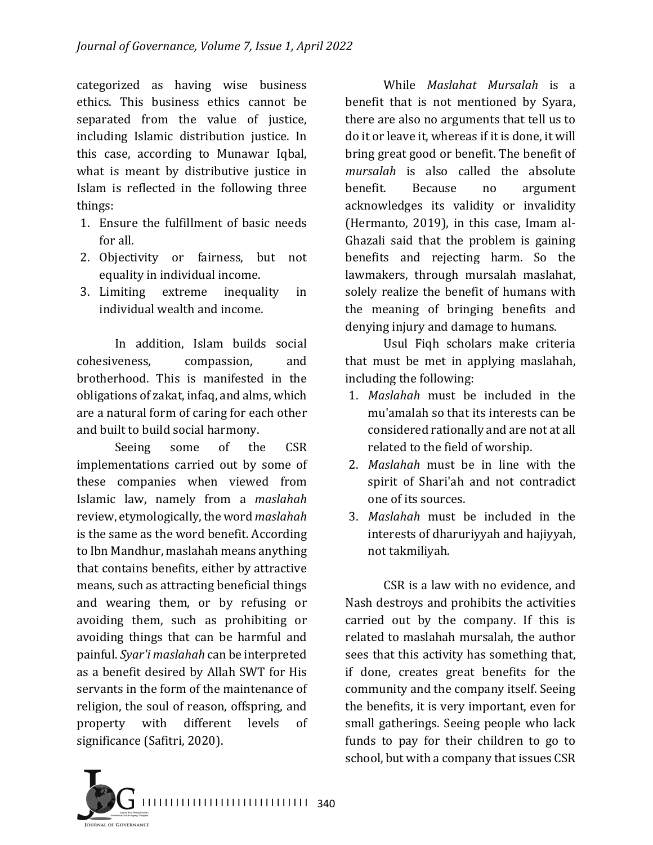categorized as having wise business ethics. This business ethics cannot be separated from the value of justice, including Islamic distribution justice. In this case, according to Munawar Iqbal, what is meant by distributive justice in Islam is reflected in the following three things:

- 1. Ensure the fulfillment of basic needs for all.
- 2. Objectivity or fairness, but not equality in individual income.
- 3. Limiting extreme inequality in individual wealth and income.

In addition, Islam builds social cohesiveness, compassion, and brotherhood. This is manifested in the obligations of zakat, infaq, and alms, which are a natural form of caring for each other and built to build social harmony.

Seeing some of the CSR implementations carried out by some of these companies when viewed from Islamic law, namely from a *maslahah* review, etymologically, the word *maslahah* is the same as the word benefit. According to Ibn Mandhur, maslahah means anything that contains benefits, either by attractive means, such as attracting beneficial things and wearing them, or by refusing or avoiding them, such as prohibiting or avoiding things that can be harmful and painful. *Syar'i maslahah* can be interpreted as a benefit desired by Allah SWT for His servants in the form of the maintenance of religion, the soul of reason, offspring, and property with different levels of significance (Safitri, 2020).

While *Maslahat Mursalah* is a benefit that is not mentioned by Syara, there are also no arguments that tell us to do it or leave it, whereas if it is done, it will bring great good or benefit. The benefit of mursalah is also called the absolute benefit. Because no argument acknowledges its validity or invalidity (Hermanto,  $2019$ ), in this case, Imam al-Ghazali said that the problem is gaining benefits and rejecting harm. So the lawmakers, through mursalah maslahat, solely realize the benefit of humans with the meaning of bringing benefits and denying injury and damage to humans.

Usul Figh scholars make criteria that must be met in applying maslahah, including the following:

- 1. *Maslahah* must be included in the mu'amalah so that its interests can be considered rationally and are not at all related to the field of worship.
- 2. *Maslahah* must be in line with the spirit of Shari'ah and not contradict one of its sources.
- 3. *Maslahah* must be included in the interests of dharuriyyah and hajiyyah, not takmiliyah.

CSR is a law with no evidence, and Nash destroys and prohibits the activities carried out by the company. If this is related to maslahah mursalah, the author sees that this activity has something that, if done, creates great benefits for the community and the company itself. Seeing the benefits, it is very important, even for small gatherings. Seeing people who lack funds to pay for their children to go to school, but with a company that issues CSR

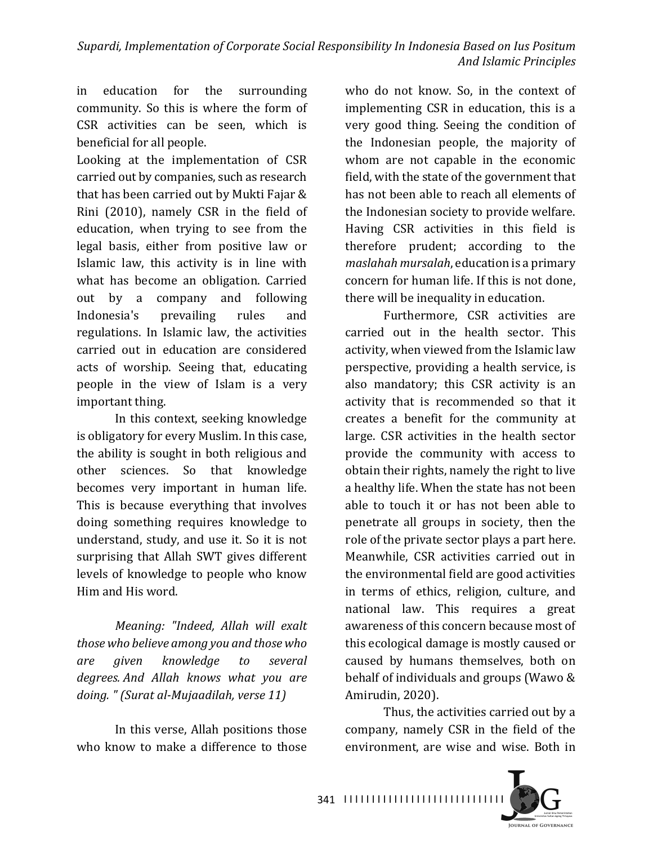Supardi, Implementation of Corporate Social Responsibility In Indonesia Based on Ius Positum *And Islamic Principles*

in education for the surrounding community. So this is where the form of CSR activities can be seen, which is beneficial for all people.

Looking at the implementation of CSR carried out by companies, such as research that has been carried out by Mukti Fajar & Rini (2010), namely CSR in the field of education, when trying to see from the legal basis, either from positive law or Islamic law, this activity is in line with what has become an obligation. Carried out by a company and following Indonesia's prevailing rules and regulations. In Islamic law, the activities carried out in education are considered acts of worship. Seeing that, educating people in the view of Islam is a very important thing.

In this context, seeking knowledge is obligatory for every Muslim. In this case, the ability is sought in both religious and other sciences. So that knowledge becomes very important in human life. This is because everything that involves doing something requires knowledge to understand, study, and use it. So it is not surprising that Allah SWT gives different levels of knowledge to people who know Him and His word.

*Meaning: "Indeed, Allah will exalt*  those who believe among you and those who *are given knowledge to several degrees. And Allah knows what you are*  doing. " (Surat al-Mujaadilah, verse 11)

In this verse, Allah positions those who know to make a difference to those

who do not know. So, in the context of implementing CSR in education, this is a very good thing. Seeing the condition of the Indonesian people, the majority of whom are not capable in the economic field, with the state of the government that has not been able to reach all elements of the Indonesian society to provide welfare. Having CSR activities in this field is therefore prudent; according to the *maslahah mursalah*, education is a primary concern for human life. If this is not done, there will be inequality in education.

Furthermore, CSR activities are carried out in the health sector. This activity, when viewed from the Islamic law perspective, providing a health service, is also mandatory; this CSR activity is an activity that is recommended so that it creates a benefit for the community at large. CSR activities in the health sector provide the community with access to obtain their rights, namely the right to live a healthy life. When the state has not been able to touch it or has not been able to penetrate all groups in society, then the role of the private sector plays a part here. Meanwhile, CSR activities carried out in the environmental field are good activities in terms of ethics, religion, culture, and national law. This requires a great awareness of this concern because most of this ecological damage is mostly caused or caused by humans themselves, both on behalf of individuals and groups (Wawo  $&$ Amirudin, 2020).

Thus, the activities carried out by a company, namely CSR in the field of the environment, are wise and wise. Both in



341 ||||||||||||||||||||||||||||||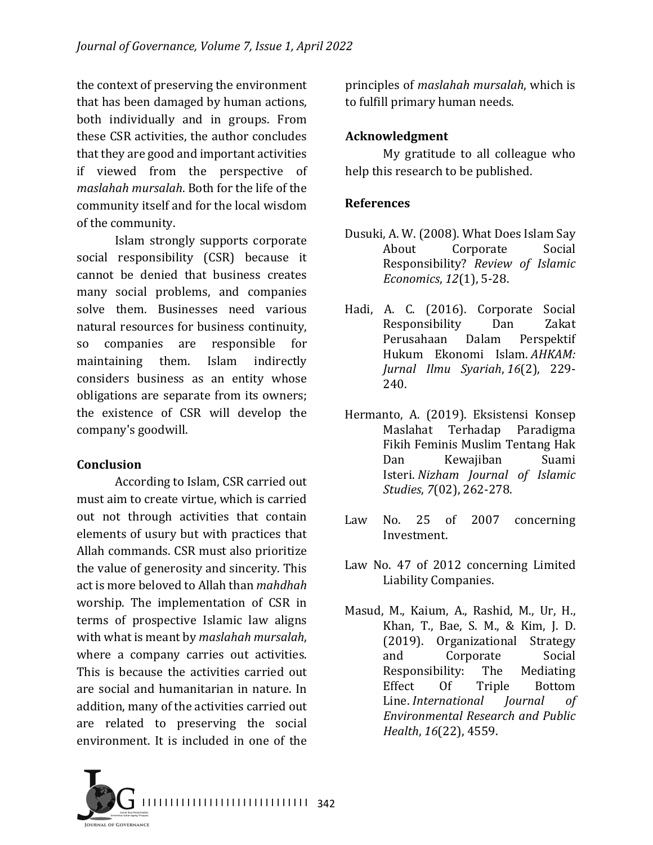the context of preserving the environment that has been damaged by human actions, both individually and in groups. From these CSR activities, the author concludes that they are good and important activities if viewed from the perspective of *maslahah mursalah*. Both for the life of the community itself and for the local wisdom of the community.

Islam strongly supports corporate social responsibility (CSR) because it cannot be denied that business creates many social problems, and companies solve them. Businesses need various natural resources for business continuity, so companies are responsible for maintaining them. Islam indirectly considers business as an entity whose obligations are separate from its owners; the existence of CSR will develop the company's goodwill.

## **Conclusion**

According to Islam, CSR carried out must aim to create virtue, which is carried out not through activities that contain elements of usury but with practices that Allah commands. CSR must also prioritize the value of generosity and sincerity. This act is more beloved to Allah than *mahdhah* worship. The implementation of CSR in terms of prospective Islamic law aligns with what is meant by *maslahah mursalah*, where a company carries out activities. This is because the activities carried out are social and humanitarian in nature. In addition, many of the activities carried out are related to preserving the social environment. It is included in one of the

principles of *maslahah mursalah*, which is to fulfill primary human needs.

## **Acknowledgment**

My gratitude to all colleague who help this research to be published.

#### **References**

- Dusuki, A. W. (2008). What Does Islam Say About Corporate Social Responsibility? *Review of Islamic Economics*,  $12(1)$ , 5-28.
- Hadi, A. C. (2016). Corporate Social Responsibility Dan Zakat Perusahaan Dalam Perspektif Hukum Ekonomi Islam. *AHKAM: Jurnal Ilmu Syariah*, *16*(2), 229- 240.
- Hermanto, A. (2019). Eksistensi Konsep Maslahat Terhadap Paradigma Fikih Feminis Muslim Tentang Hak Dan Kewajiban Suami Isteri. *Nizham Journal of Islamic Studies*, *7*(02), 262-278.
- Law No. 25 of 2007 concerning Investment.
- Law No. 47 of 2012 concerning Limited Liability Companies.
- Masud, M., Kaium, A., Rashid, M., Ur, H., Khan, T., Bae, S. M., & Kim, J. D. (2019). Organizational Strategy and Corporate Social Responsibility: The Mediating Effect Of Triple Bottom Line. *International Iournal of Environmental Research and Public Health*, 16(22), 4559.